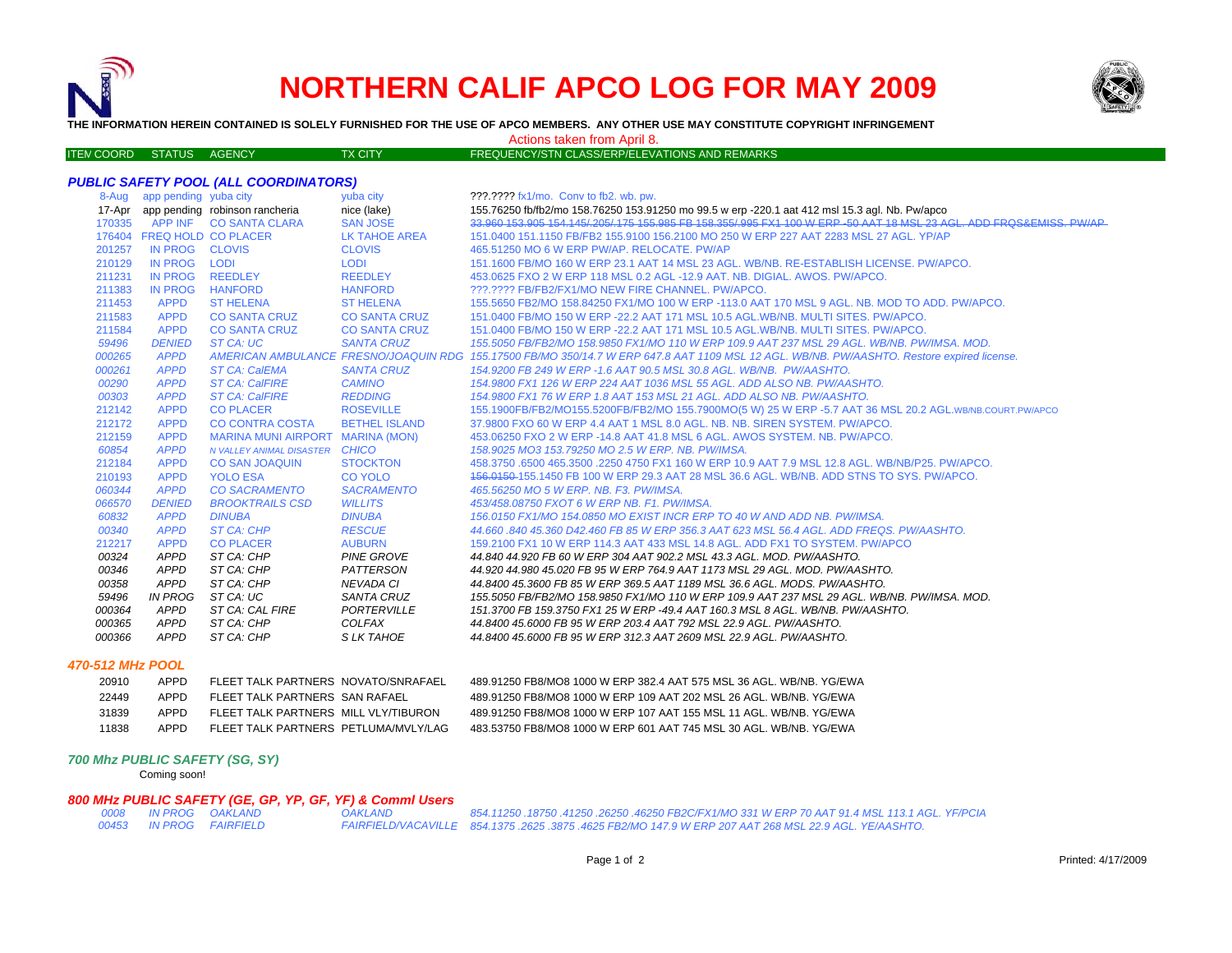

# **NORTHERN CALIF APCO LOG FOR MAY 2009**



**THE INFORMATION HEREIN CONTAINED IS SOLELY FURNISHED FOR THE USE OF APCO MEMBERS. ANY OTHER USE MAY CONSTITUTE COPYRIGHT INFRINGEMENT**

#### Actions taken from April 8.

| <b>ITEN COORD STATUS AGENCY</b> |  | <b>FX CITY</b> | FREQUENCY/STN CLASS/ERP/ELEVATIONS AND REMARKS |  |
|---------------------------------|--|----------------|------------------------------------------------|--|
|                                 |  |                |                                                |  |

8-Aug app pending yuba city yuba city yuba city ???.???? fx1/mo. Conv to fb2. wb. pw. 17-Apr app pending robinson rancheria nice (lake) 155.76250 fb/fb2/mo 158.76250 153.91250 mo 99.5 w erp -220.1 aat 412 msl 15.3 agl. Nb. Pw/apco 158.995 153.91 mb 15.3 agl. Nb. Pw/apco 158.966 154.146/205/175.155.985 FB 15 APP INF CO SANTA CLARA SAN JOSE 33.960 153.905 154.145/.205/.175 155.985 FB 158.355/.995 FX1 100 W ERP -50 AAT 18 MSL 23 AGL. ADD FRQS&EMISS. PW/AP FREQ HOLD CO PLACER LK TAHOE AREA 151.0400 151.1150 FB/FB2 155.9100 156.2100 MO 250 W ERP 227 AAT 2283 MSL 27 AGL. YP/AP IN PROG CLOVIS CLOVIS 465.51250 MO 6 W ERP PW/AP. RELOCATE. PW/AP IN PROG LODI LODI 151.1600 FB/MO 160 W ERP 23.1 AAT 14 MSL 23 AGL. WB/NB. RE-ESTABLISH LICENSE. PW/APCO. IN PROG REEDLEY REEDLEY 453.0625 FXO 2 W ERP 118 MSL 0.2 AGL -12.9 AAT. NB. DIGIAL. AWOS. PW/APCO. IN PROG HANFORD HANFORD ???.???? FB/FB2/FX1/MO NEW FIRE CHANNEL. PW/APCO. APPD ST HELENA ST HELENA 155.5650 FB2/MO 158.84250 FX1/MO 100 W ERP -113.0 AAT 170 MSL 9 AGL. NB. MOD TO ADD. PW/APCO. APPD CO SANTA CRUZ CO SANTA CRUZ 151.0400 FB/MO 150 W ERP -22.2 AAT 171 MSL 10.5 AGL.WB/NB. MULTI SITES. PW/APCO. APPD CO SANTA CRUZ CO SANTA CRUZ 151.0400 FB/MO 150 W ERP -22.2 AAT 171 MSL 10.5 AGL.WB/NB. MULTI SITES. PW/APCO. *DENIED ST CA: UC SANTA CRUZ 155.5050 FB/FB2/MO 158.9850 FX1/MO 110 W ERP 109.9 AAT 237 MSL 29 AGL. WB/NB. PW/IMSA. MOD. APPD AMERICAN AMBULANCE FRESNO/JOAQUIN RDG 155.17500 FB/MO 350/14.7 W ERP 647.8 AAT 1109 MSL 12 AGL. WB/NB. PW/AASHTO. Restore expired license. APPD ST CA: CalEMA SANTA CRUZ 154.9200 FB 249 W ERP -1.6 AAT 90.5 MSL 30.8 AGL. WB/NB. PW/AASHTO. APPD ST CA: CalFIRE CAMINO 154.9800 FX1 126 W ERP 224 AAT 1036 MSL 55 AGL. ADD ALSO NB. PW/AASHTO. APPD ST CA: CalFIRE REDDING 154.9800 FX1 76 W ERP 1.8 AAT 153 MSL 21 AGL. ADD ALSO NB. PW/AASHTO.* APPD CO PLACER ROSEVILLE 155.1900FB/FB2/MO155.5200FB/FB2/MO 155.7900MO(5 W) 25 W ERP -5.7 AAT 36 MSL 20.2 AGL.WB/NB.COURT.PW/APCO APPD CO CONTRA COSTA BETHEL ISLAND 37.9800 FXO 60 W ERP 4.4 AAT 1 MSL 8.0 AGL. NB. NB. SIREN SYSTEM. PW/APCO. APPD MARINA MUNI AIRPORT MARINA (MON) 453.06250 FXO 2 W ERP -14.8 AAT 41.8 MSL 6 AGL. AWOS SYSTEM. NB. PW/APCO.  *APPD N VALLEY ANIMAL DISASTER CHICO 158.9025 MO3 153.79250 MO 2.5 W ERP. NB. PW/IMSA.* APPD CO SAN JOAQUIN STOCKTON 458.3750 .6500 465.3500 .2250 4750 FX1 160 W ERP 10.9 AAT 7.9 MSL 12.8 AGL. WB/NB/P25. PW/APCO. APPD YOLO ESA CO YOLO 156.0150 155.1450 FB 100 W ERP 29.3 AAT 28 MSL 36.6 AGL. WB/NB. ADD STNS TO SYS. PW/APCO.  *APPD CO SACRAMENTO SACRAMENTO 465.56250 MO 5 W ERP. NB. F3. PW/IMSA. DENIED BROOKTRAILS CSD WILLITS 453/458.08750 FXOT 6 W ERP NB. F1. PW/IMSA. APPD DINUBA DINUBA 156.0150 FX1/MO 154.0850 MO EXIST INCR ERP TO 40 W AND ADD NB. PW/IMSA. APPD ST CA: CHP RESCUE 44.660 .840 45.360 D42.460 FB 85 W ERP 356.3 AAT 623 MSL 56.4 AGL. ADD FREQS. PW/AASHTO.* 212217 APPD CO PLACER AUBURN 159.2100 FX1 10 W ERP 114.3 AAT 433 MSL 14.8 AGL. ADD FX1 TO SYSTEM. PW/APCO  *APPD ST CA: CHP PINE GROVE 44.840 44.920 FB 60 W ERP 304 AAT 902.2 MSL 43.3 AGL. MOD. PW/AASHTO. APPD ST CA: CHP PATTERSON 44.920 44.980 45.020 FB 95 W ERP 764.9 AAT 1173 MSL 29 AGL. MOD. PW/AASHTO. APPD ST CA: CHP NEVADA CI 44.8400 45.3600 FB 85 W ERP 369.5 AAT 1189 MSL 36.6 AGL. MODS. PW/AASHTO. IN PROG ST CA: UC SANTA CRUZ 155.5050 FB/FB2/MO 158.9850 FX1/MO 110 W ERP 109.9 AAT 237 MSL 29 AGL. WB/NB. PW/IMSA. MOD. APPD ST CA: CAL FIRE PORTERVILLE 151.3700 FB 159.3750 FX1 25 W ERP -49.4 AAT 160.3 MSL 8 AGL. WB/NB. PW/AASHTO. APPD ST CA: CHP COLFAX 44.8400 45.6000 FB 95 W ERP 203.4 AAT 792 MSL 22.9 AGL. PW/AASHTO. APPD ST CA: CHP S LK TAHOE 44.8400 45.6000 FB 95 W ERP 312.3 AAT 2609 MSL 22.9 AGL. PW/AASHTO.*

# *470-512 MHz POOL*

| 20910 | APPD. | FLEET TALK PARTNERS NOVATO/SNRAFAEL      | 489 91250 FB8/MO8 1000 W FRP 382 4 AAT 575 MSL 36 AGL WB/NB YG/FW  |
|-------|-------|------------------------------------------|--------------------------------------------------------------------|
| 22449 | APPD. | FI FFT TAI K PARTNERS, SAN RAFAFI        | 489 91250 FB8/MO8 1000 W FRP 109 AAT 202 MSL 26 AGL. WB/NB YG/FWA  |
| 31839 | APPD. | FI FFT TAI K PARTNERS MILL VI Y/TIBURON  | 489 91250 FB8/MO8 1000 W FRP 107 AAT 155 MSL 11 AGL. WB/NB, YG/FWA |
| 11838 | APPD. | FI FFT TAI K PARTNERS PFTI UMA/MVI Y/LAG | 483 53750 FB8/MO8 1000 W FRP 601 AAT 745 MSL 30 AGL. WB/NB YG/FWA  |

39.91250 FB8/MO8 1000 W ERP 382.4 AAT 575 MSL 36 AGL. WB/NB. YG/EWA 39.91250 FB8/MO8 1000 W ERP 109 AAT 202 MSL 26 AGL. WB/NB. YG/EWA 39 91250 FB8/MO8 1000 W ERP 107 AAT 155 MSL 11 AGL. WB/NB. YG/EWA

## *700 Mhz PUBLIC SAFETY (SG, SY)*

Coming soon!

### *800 MHz PUBLIC SAFETY (GE, GP, YP, GF, YF) & Comml Users*

|  | 0008 IN PROG OAKLAND    | <b>OAKLAND</b> | 854.11250 .18750 .41250 .26250 .46250 FB2C/FX1/MO 331 W ERP 70 AAT 91.4 MSL 113.1 AGL. YF/PCIA             |
|--|-------------------------|----------------|------------------------------------------------------------------------------------------------------------|
|  | 00453 IN PROG FAIRFIELD |                | . FAIRFIELD/VACAVILLE    854.1375 .2625 .3875 .4625 FB2/MO 147.9 W ERP 207 AAT 268 MSL 22.9 AGL. YE/AASHTO |